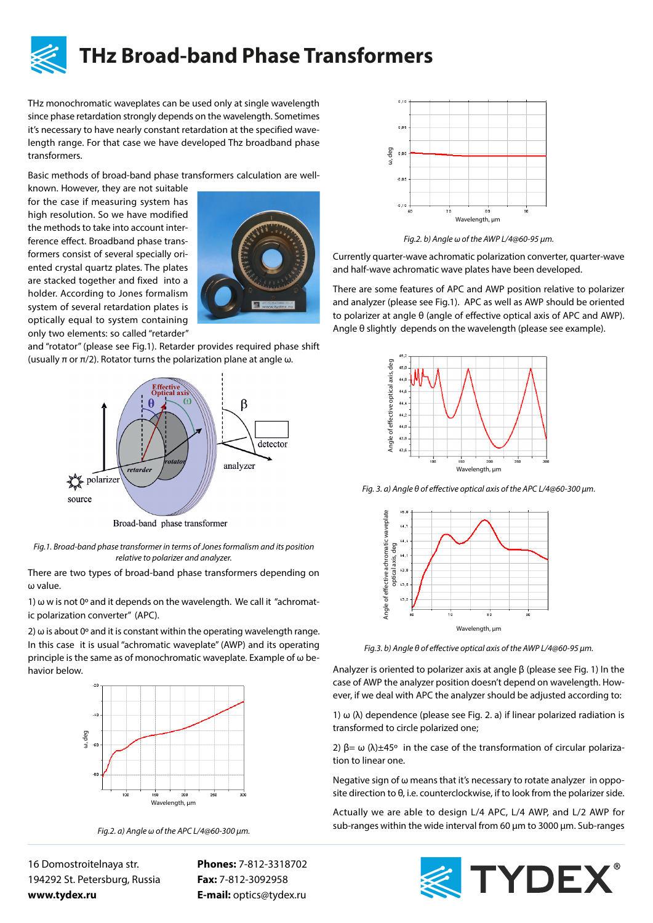

THz monochromatic waveplates can be used only at single wavelength since phase retardation strongly depends on the wavelength. Sometimes it's necessary to have nearly constant retardation at the specified wavelength range. For that case we have developed Thz broadband phase transformers.

Basic methods of broad-band phase transformers calculation are well-

known. However, they are not suitable for the case if measuring system has high resolution. So we have modified the methods to take into account interference effect. Broadband phase transformers consist of several specially oriented crystal quartz plates. The plates are stacked together and fixed into a holder. According to Jones formalism system of several retardation plates is optically equal to system containing only two elements: so called "retarder"



and "rotator" (please see Fig.1). Retarder provides required phase shift (usually  $\pi$  or  $\pi/2$ ). Rotator turns the polarization plane at angle ω.



Broad-band phase transformer

*Fig.1. Broad-band phase transformer in terms of Jones formalism and its position relative to polarizer and analyzer.*

There are two types of broad-band phase transformers depending on ω value.

1) ω w is not 0º and it depends on the wavelength. We call it "achromatic polarization converter" (APC).

2)  $\omega$  is about 0° and it is constant within the operating wavelength range. In this case it is usual "achromatic waveplate" (AWP) and its operating principle is the same as of monochromatic waveplate. Example of ω behavior below.



*Fig.2. a) Angle ω of the APC L/4@60-300 µm.*

16 Domostroitelnaya str. 194292 St. Petersburg, Russia **www.tydex.ru** 

**Phones:** 7-812-3318702 **Fax:** 7-812-3092958 **E-mail:** optics@tydex.ru



*Fig.2. b) Angle ω of the AWP L/4@60-95 µm.*

Currently quarter-wave achromatic polarization converter, quarter-wave and half-wave achromatic wave plates have been developed.

There are some features of APC and AWP position relative to polarizer and analyzer (please see Fig.1). APC as well as AWP should be oriented to polarizer at angle θ (angle of effective optical axis of APC and AWP). Angle θ slightly depends on the wavelength (please see example).





Analyzer is oriented to polarizer axis at angle β (please see Fig. 1) In the case of AWP the analyzer position doesn't depend on wavelength. However, if we deal with APC the analyzer should be adjusted according to:

1) ω (λ) dependence (please see Fig. 2. a) if linear polarized radiation is transformed to circle polarized one;

2)  $\beta = \omega$  (λ) $\pm$ 45° in the case of the transformation of circular polarization to linear one.

Negative sign of ω means that it's necessary to rotate analyzer in opposite direction to  $\theta$ , i.e. counterclockwise, if to look from the polarizer side.

Actually we are able to design L/4 APC, L/4 AWP, and L/2 AWP for sub-ranges within the wide interval from 60 µm to 3000 µm. Sub-ranges